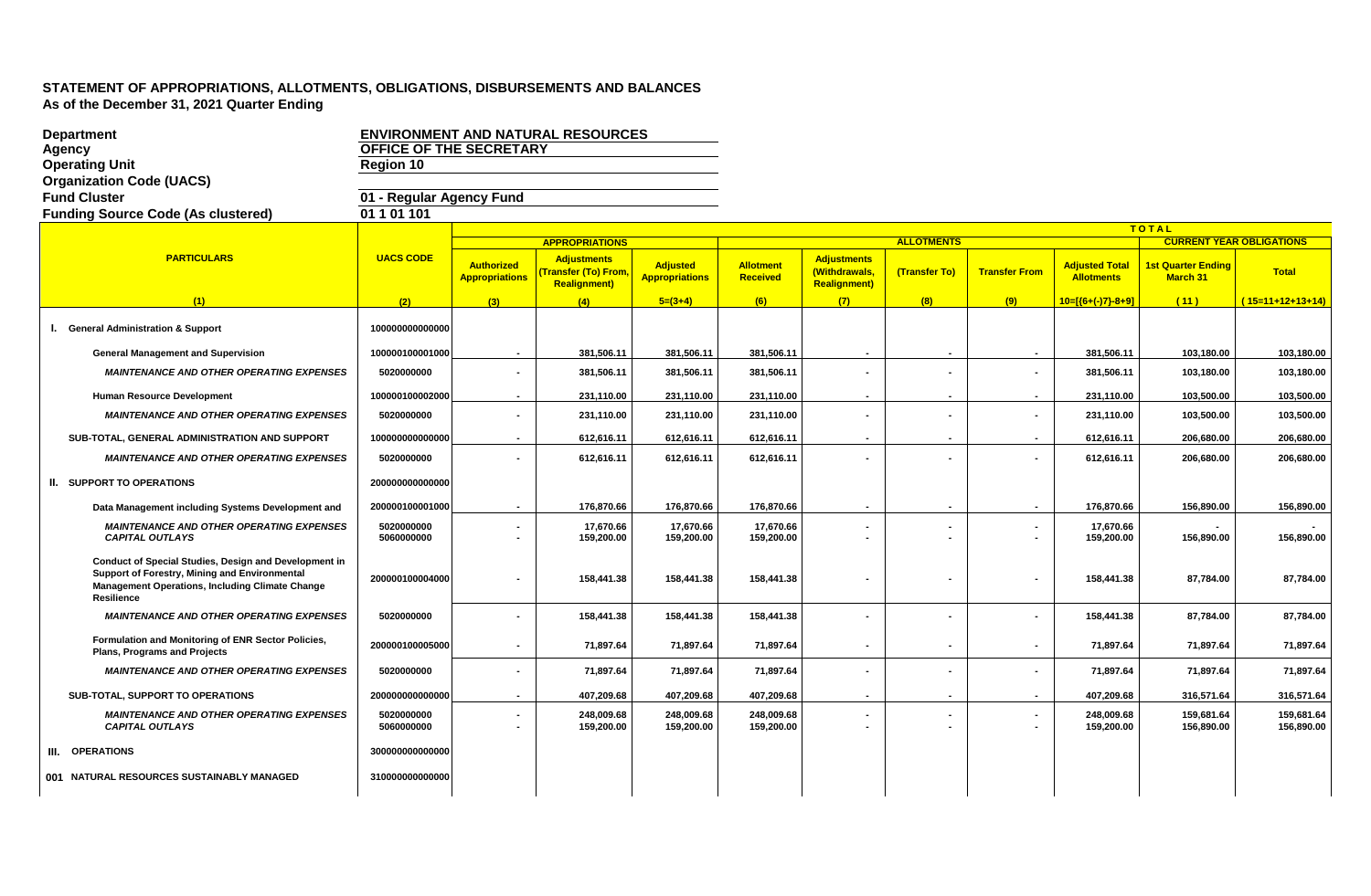| <b>Department</b>                                                                                                                                                                     |                          |                                            | <b>ENVIRONMENT AND NATURAL RESOURCES</b>                               |                                          |                                     |                                                            |                   |                      |                                           |                                       |                                 |
|---------------------------------------------------------------------------------------------------------------------------------------------------------------------------------------|--------------------------|--------------------------------------------|------------------------------------------------------------------------|------------------------------------------|-------------------------------------|------------------------------------------------------------|-------------------|----------------------|-------------------------------------------|---------------------------------------|---------------------------------|
| Agency                                                                                                                                                                                | OFFICE OF THE SECRETARY  |                                            |                                                                        |                                          |                                     |                                                            |                   |                      |                                           |                                       |                                 |
| <b>Operating Unit</b>                                                                                                                                                                 | Region 10                |                                            |                                                                        |                                          |                                     |                                                            |                   |                      |                                           |                                       |                                 |
| <b>Organization Code (UACS)</b>                                                                                                                                                       |                          |                                            |                                                                        |                                          |                                     |                                                            |                   |                      |                                           |                                       |                                 |
| <b>Fund Cluster</b>                                                                                                                                                                   | 01 - Regular Agency Fund |                                            |                                                                        |                                          |                                     |                                                            |                   |                      |                                           |                                       |                                 |
| <b>Funding Source Code (As clustered)</b>                                                                                                                                             | 01 1 01 101              |                                            |                                                                        |                                          |                                     |                                                            |                   |                      |                                           |                                       |                                 |
|                                                                                                                                                                                       |                          |                                            |                                                                        |                                          |                                     |                                                            |                   |                      |                                           | TOTAL                                 |                                 |
|                                                                                                                                                                                       |                          |                                            | <b>APPROPRIATIONS</b>                                                  |                                          |                                     |                                                            | <b>ALLOTMENTS</b> |                      |                                           |                                       | <b>CURRENT YEAR OBLIGATIONS</b> |
| <b>PARTICULARS</b>                                                                                                                                                                    | <b>UACS CODE</b>         | <b>Authorized</b><br><b>Appropriations</b> | <b>Adjustments</b><br><b>Transfer (To) From</b><br><b>Realignment)</b> | <b>Adjusted</b><br><b>Appropriations</b> | <b>Allotment</b><br><b>Received</b> | <b>Adjustments</b><br>(Withdrawals,<br><b>Realignment)</b> | (Transfer To)     | <b>Transfer From</b> | <b>Adjusted Tota</b><br><b>Allotments</b> | <b>1st Quarter Ending</b><br>March 31 | <b>Total</b>                    |
| (1)                                                                                                                                                                                   | (2)                      | (3)                                        | (4)                                                                    | $5=(3+4)$                                | (6)                                 | (7)                                                        | (8)               | (9)                  | $10=[(6+(-)7)-8+9]$                       | (11)                                  | $(15=11+12+13+14)$              |
| I. General Administration & Support                                                                                                                                                   | 100000000000000          |                                            |                                                                        |                                          |                                     |                                                            |                   |                      |                                           |                                       |                                 |
| <b>General Management and Supervision</b>                                                                                                                                             | 100000100001000          | $\sim$                                     | 381,506.11                                                             | 381,506.11                               | 381,506.11                          |                                                            | $\sim$            | $\blacksquare$       | 381,506.11                                | 103,180.00                            | 103,180.00                      |
| <b>MAINTENANCE AND OTHER OPERATING EXPENSES</b>                                                                                                                                       | 5020000000               |                                            | 381,506.11                                                             | 381,506.11                               | 381,506.11                          |                                                            |                   |                      | 381,506.11                                | 103,180.00                            | 103,180.00                      |
| <b>Human Resource Development</b>                                                                                                                                                     | 100000100002000          |                                            | 231,110.00                                                             | 231,110.00                               | 231,110.00                          |                                                            |                   | $\blacksquare$       | 231,110.00                                | 103,500.00                            | 103,500.00                      |
| <b>MAINTENANCE AND OTHER OPERATING EXPENSES</b>                                                                                                                                       | 5020000000               |                                            | 231,110.00                                                             | 231,110.00                               | 231,110.00                          |                                                            |                   |                      | 231,110.00                                | 103,500.00                            | 103,500.00                      |
| SUB-TOTAL, GENERAL ADMINISTRATION AND SUPPORT                                                                                                                                         | 100000000000000          | $\sim$                                     | 612,616.11                                                             | 612,616.11                               | 612,616.11                          | $\overline{\phantom{a}}$                                   |                   | $\sim$               | 612,616.11                                | 206,680.00                            | 206,680.00                      |
| <b>MAINTENANCE AND OTHER OPERATING EXPENSES</b>                                                                                                                                       | 5020000000               | $\sim$                                     | 612,616.11                                                             | 612,616.11                               | 612,616.11                          |                                                            | $\blacksquare$    | $\blacksquare$       | 612,616.11                                | 206,680.00                            | 206,680.00                      |
| II. SUPPORT TO OPERATIONS                                                                                                                                                             | 200000000000000          |                                            |                                                                        |                                          |                                     |                                                            |                   |                      |                                           |                                       |                                 |
| Data Management including Systems Development and                                                                                                                                     | 200000100001000          | $\sim$                                     | 176,870.66                                                             | 176,870.66                               | 176,870.66                          |                                                            | $\sim$            | $\blacksquare$       | 176,870.66                                | 156,890.00                            | 156,890.00                      |
| <b>MAINTENANCE AND OTHER OPERATING EXPENSES</b><br><b>CAPITAL OUTLAYS</b>                                                                                                             | 5020000000<br>5060000000 |                                            | 17,670.66<br>159,200.00                                                | 17,670.66<br>159,200.00                  | 17,670.66<br>159,200.00             |                                                            |                   | $\blacksquare$       | 17,670.66<br>159,200.00                   | 156,890.00                            | 156,890.00                      |
| Conduct of Special Studies, Design and Development in<br>Support of Forestry, Mining and Environmental<br><b>Management Operations, Including Climate Change</b><br><b>Resilience</b> | 200000100004000          |                                            | 158,441.38                                                             | 158,441.38                               | 158,441.38                          |                                                            |                   |                      | 158,441.38                                | 87,784.00                             | 87,784.00                       |
| <b>MAINTENANCE AND OTHER OPERATING EXPENSES</b>                                                                                                                                       | 5020000000               |                                            | 158,441.38                                                             | 158,441.38                               | 158,441.38                          |                                                            |                   |                      | 158,441.38                                | 87,784.00                             | 87,784.00                       |
| Formulation and Monitoring of ENR Sector Policies,<br><b>Plans, Programs and Projects</b>                                                                                             | 200000100005000          |                                            | 71,897.64                                                              | 71,897.64                                | 71,897.64                           |                                                            | $\blacksquare$    | $\blacksquare$       | 71,897.64                                 | 71,897.64                             | 71,897.64                       |
| <b>MAINTENANCE AND OTHER OPERATING EXPENSES</b>                                                                                                                                       | 5020000000               | $\sim$                                     | 71,897.64                                                              | 71,897.64                                | 71,897.64                           |                                                            | $\blacksquare$    | $\blacksquare$       | 71,897.64                                 | 71,897.64                             | 71,897.64                       |
| SUB-TOTAL, SUPPORT TO OPERATIONS                                                                                                                                                      | 200000000000000          | $\overline{a}$                             | 407,209.68                                                             | 407,209.68                               | 407,209.68                          |                                                            | $\sim$            | $\sim$               | 407.209.68                                | 316,571.64                            | 316,571.64                      |
| <b>MAINTENANCE AND OTHER OPERATING EXPENSES</b><br><b>CAPITAL OUTLAYS</b>                                                                                                             | 5020000000<br>5060000000 |                                            | 248,009.68<br>159,200.00                                               | 248,009.68<br>159,200.00                 | 248,009.68<br>159,200.00            |                                                            |                   |                      | 248,009.68<br>159,200.00                  | 159,681.64<br>156,890.00              | 159,681.64<br>156,890.00        |
| III. OPERATIONS                                                                                                                                                                       | 300000000000000          |                                            |                                                                        |                                          |                                     |                                                            |                   |                      |                                           |                                       |                                 |
| 001 NATURAL RESOURCES SUSTAINABLY MANAGED                                                                                                                                             | 310000000000000          |                                            |                                                                        |                                          |                                     |                                                            |                   |                      |                                           |                                       |                                 |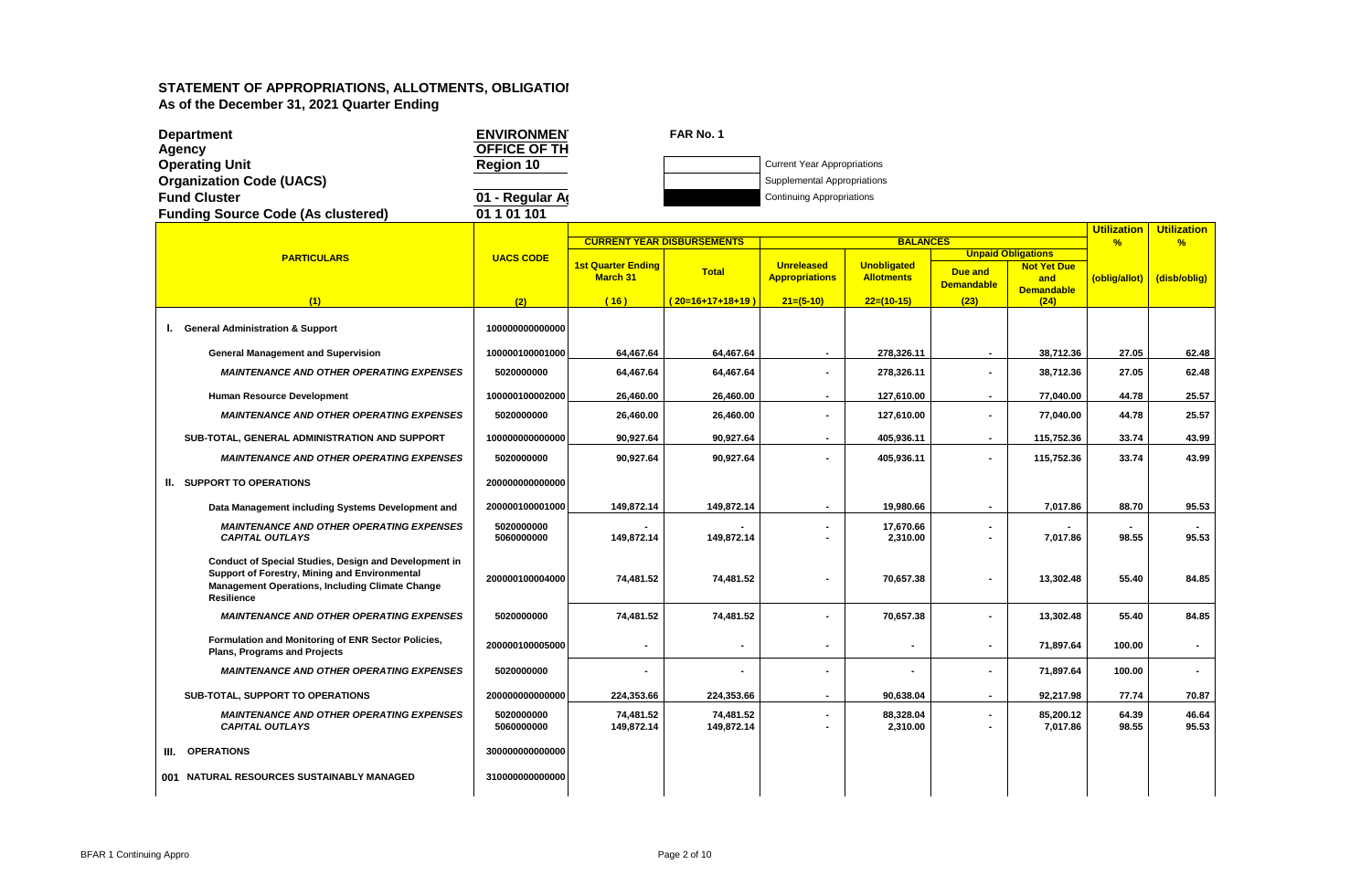|      | <b>Department</b>                                                                                                                                                                     | <b>ENVIRONMEN</b>        |                                       | FAR No. 1                         |                                            |                                         |                   |                           |                         |                         |
|------|---------------------------------------------------------------------------------------------------------------------------------------------------------------------------------------|--------------------------|---------------------------------------|-----------------------------------|--------------------------------------------|-----------------------------------------|-------------------|---------------------------|-------------------------|-------------------------|
|      | <b>Agency</b>                                                                                                                                                                         | OFFICE OF TH             |                                       |                                   |                                            |                                         |                   |                           |                         |                         |
|      | <b>Operating Unit</b>                                                                                                                                                                 | <b>Region 10</b>         |                                       |                                   | <b>Current Year Appropriations</b>         |                                         |                   |                           |                         |                         |
|      | <b>Organization Code (UACS)</b>                                                                                                                                                       |                          |                                       |                                   | Supplemental Appropriations                |                                         |                   |                           |                         |                         |
|      | <b>Fund Cluster</b>                                                                                                                                                                   | 01 - Regular A           |                                       |                                   | <b>Continuing Appropriations</b>           |                                         |                   |                           |                         |                         |
|      | <b>Funding Source Code (As clustered)</b>                                                                                                                                             | 01 1 01 101              |                                       |                                   |                                            |                                         |                   |                           |                         |                         |
|      |                                                                                                                                                                                       |                          |                                       | <b>CURRENT YEAR DISBURSEMENTS</b> |                                            | <b>BALANCES</b>                         |                   |                           | <b>Utilization</b><br>% | <b>Utilization</b><br>% |
|      | <b>PARTICULARS</b>                                                                                                                                                                    | <b>UACS CODE</b>         |                                       |                                   |                                            |                                         |                   | <b>Unpaid Obligations</b> |                         |                         |
|      |                                                                                                                                                                                       |                          | <b>1st Quarter Ending</b><br>March 31 | <b>Total</b>                      | <b>Unreleased</b><br><b>Appropriations</b> | <b>Unobligated</b><br><b>Allotments</b> | <b>Due and</b>    | <b>Not Yet Due</b>        |                         | (disb/oblig)            |
|      |                                                                                                                                                                                       |                          |                                       |                                   |                                            |                                         | <b>Demandable</b> | and<br><b>Demandable</b>  | (oblig/allot)           |                         |
|      | (1)                                                                                                                                                                                   | (2)                      | (16)                                  | $(20=16+17+18+19)$                | $21=(5-10)$                                | $22=(10-15)$                            | (23)              | (24)                      |                         |                         |
|      | I. General Administration & Support                                                                                                                                                   | 100000000000000          |                                       |                                   |                                            |                                         |                   |                           |                         |                         |
|      | <b>General Management and Supervision</b>                                                                                                                                             | 100000100001000          | 64,467.64                             | 64,467.64                         | $\sim$                                     | 278,326.11                              |                   | 38,712.36                 | 27.05                   | 62.48                   |
|      | <b>MAINTENANCE AND OTHER OPERATING EXPENSES</b>                                                                                                                                       | 5020000000               | 64,467.64                             | 64,467.64                         | $\blacksquare$                             | 278,326.11                              |                   | 38,712.36                 | 27.05                   | 62.48                   |
|      | <b>Human Resource Development</b>                                                                                                                                                     | 100000100002000          | 26,460.00                             | 26,460.00                         | $\sim$                                     | 127,610.00                              | $\blacksquare$    | 77,040.00                 | 44.78                   | 25.57                   |
|      | <b>MAINTENANCE AND OTHER OPERATING EXPENSES</b>                                                                                                                                       | 5020000000               | 26,460.00                             | 26,460.00                         | $\blacksquare$                             | 127,610.00                              |                   | 77,040.00                 | 44.78                   | 25.57                   |
|      | SUB-TOTAL, GENERAL ADMINISTRATION AND SUPPORT                                                                                                                                         | 100000000000000          | 90,927.64                             | 90,927.64                         | $\sim$                                     | 405,936.11                              |                   | 115,752.36                | 33.74                   | 43.99                   |
|      | <b>MAINTENANCE AND OTHER OPERATING EXPENSES</b>                                                                                                                                       | 5020000000               | 90,927.64                             | 90,927.64                         |                                            | 405,936.11                              |                   | 115,752.36                | 33.74                   | 43.99                   |
|      | <b>II. SUPPORT TO OPERATIONS</b>                                                                                                                                                      | 200000000000000          |                                       |                                   |                                            |                                         |                   |                           |                         |                         |
|      | Data Management including Systems Development and                                                                                                                                     | 200000100001000          | 149,872.14                            | 149,872.14                        | $\sim$                                     | 19,980.66                               | $\blacksquare$    | 7,017.86                  | 88.70                   | 95.53                   |
|      | <b>MAINTENANCE AND OTHER OPERATING EXPENSES</b><br><b>CAPITAL OUTLAYS</b>                                                                                                             | 5020000000<br>5060000000 | 149,872.14                            | 149,872.14                        |                                            | 17,670.66<br>2,310.00                   |                   | 7,017.86                  | 98.55                   | 95.53                   |
|      | Conduct of Special Studies, Design and Development in<br>Support of Forestry, Mining and Environmental<br><b>Management Operations, Including Climate Change</b><br><b>Resilience</b> | 200000100004000          | 74,481.52                             | 74,481.52                         | ä,                                         | 70,657.38                               |                   | 13,302.48                 | 55.40                   | 84.85                   |
|      | <b>MAINTENANCE AND OTHER OPERATING EXPENSES</b>                                                                                                                                       | 5020000000               | 74,481.52                             | 74,481.52                         | L.                                         | 70,657.38                               |                   | 13,302.48                 | 55.40                   | 84.85                   |
|      | Formulation and Monitoring of ENR Sector Policies,<br><b>Plans, Programs and Projects</b>                                                                                             | 200000100005000          |                                       |                                   |                                            |                                         |                   | 71,897.64                 | 100.00                  | $\sim$                  |
|      | <b>MAINTENANCE AND OTHER OPERATING EXPENSES</b>                                                                                                                                       | 5020000000               |                                       |                                   | $\blacksquare$                             |                                         |                   | 71.897.64                 | 100.00                  | $\sim$                  |
|      | SUB-TOTAL, SUPPORT TO OPERATIONS                                                                                                                                                      | 200000000000000          | 224,353.66                            | 224,353.66                        | $\blacksquare$                             | 90,638.04                               | $\sim$            | 92,217.98                 | 77.74                   | 70.87                   |
|      | <b>MAINTENANCE AND OTHER OPERATING EXPENSES</b><br><b>CAPITAL OUTLAYS</b>                                                                                                             | 5020000000<br>5060000000 | 74,481.52<br>149,872.14               | 74,481.52<br>149,872.14           | ÷,                                         | 88,328.04<br>2,310.00                   | $\sim$            | 85,200.12<br>7,017.86     | 64.39<br>98.55          | 46.64<br>95.53          |
| III. | <b>OPERATIONS</b>                                                                                                                                                                     | 300000000000000          |                                       |                                   |                                            |                                         |                   |                           |                         |                         |
|      | 001 NATURAL RESOURCES SUSTAINABLY MANAGED                                                                                                                                             | 310000000000000          |                                       |                                   |                                            |                                         |                   |                           |                         |                         |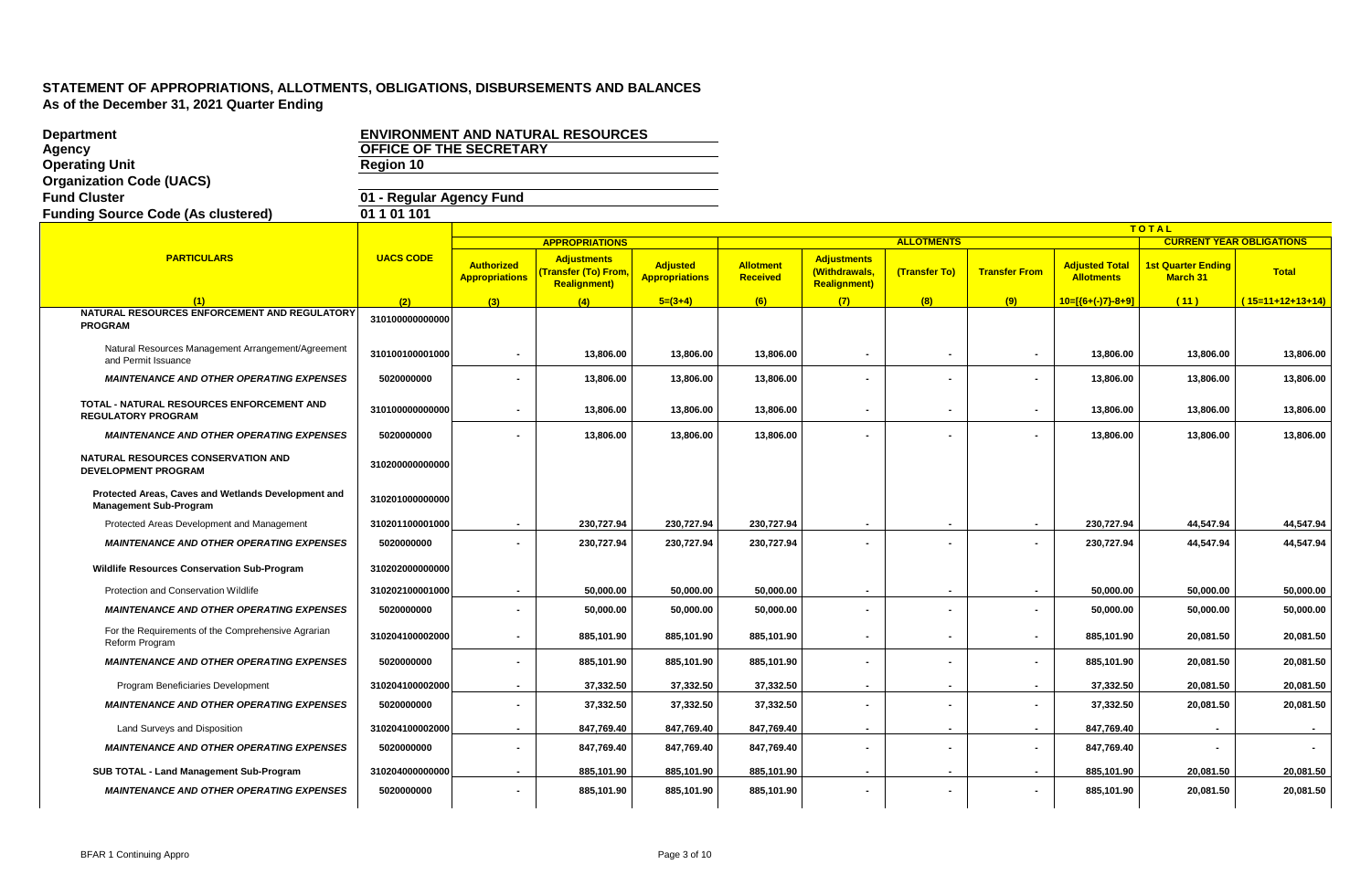| <b>Department</b>                                                                    |                          |                                            | <b>ENVIRONMENT AND NATURAL RESOURCES</b>                                       |                                          |                                     |                                                            |                   |                          |                                            |                                       |                                 |
|--------------------------------------------------------------------------------------|--------------------------|--------------------------------------------|--------------------------------------------------------------------------------|------------------------------------------|-------------------------------------|------------------------------------------------------------|-------------------|--------------------------|--------------------------------------------|---------------------------------------|---------------------------------|
| Agency                                                                               | OFFICE OF THE SECRETARY  |                                            |                                                                                |                                          |                                     |                                                            |                   |                          |                                            |                                       |                                 |
| <b>Operating Unit</b>                                                                | <b>Region 10</b>         |                                            |                                                                                |                                          |                                     |                                                            |                   |                          |                                            |                                       |                                 |
| <b>Organization Code (UACS)</b>                                                      |                          |                                            |                                                                                |                                          |                                     |                                                            |                   |                          |                                            |                                       |                                 |
| <b>Fund Cluster</b>                                                                  | 01 - Regular Agency Fund |                                            |                                                                                |                                          |                                     |                                                            |                   |                          |                                            |                                       |                                 |
| <b>Funding Source Code (As clustered)</b>                                            | 01 1 01 101              |                                            |                                                                                |                                          |                                     |                                                            |                   |                          |                                            |                                       |                                 |
|                                                                                      |                          |                                            |                                                                                |                                          |                                     |                                                            |                   |                          |                                            | <b>TOTAL</b>                          |                                 |
|                                                                                      |                          |                                            | <b>APPROPRIATIONS</b>                                                          |                                          |                                     |                                                            | <b>ALLOTMENTS</b> |                          |                                            |                                       | <b>CURRENT YEAR OBLIGATIONS</b> |
| <b>PARTICULARS</b>                                                                   | <b>UACS CODE</b>         | <b>Authorized</b><br><b>Appropriations</b> | <b>Adjustments</b><br><mark>(Transfer (To) From</mark><br><b>Realignment</b> ) | <b>Adjusted</b><br><b>Appropriations</b> | <b>Allotment</b><br><b>Received</b> | <b>Adjustments</b><br>(Withdrawals,<br><b>Realignment)</b> | (Transfer To)     | <b>Transfer From</b>     | <b>Adjusted Total</b><br><b>Allotments</b> | <b>1st Quarter Ending</b><br>March 31 | <b>Total</b>                    |
| (1)                                                                                  | (2)                      | (3)                                        | (4)                                                                            | $5=(3+4)$                                | (6)                                 | (7)                                                        | (8)               | (9)                      | $10=[(6+(-)7)-8+9]$                        | (11)                                  | $(15=11+12+13+14)$              |
| NATURAL RESOURCES ENFORCEMENT AND REGULATORY<br><b>PROGRAM</b>                       | 310100000000000          |                                            |                                                                                |                                          |                                     |                                                            |                   |                          |                                            |                                       |                                 |
| Natural Resources Management Arrangement/Agreement<br>and Permit Issuance            | 310100100001000          | $\overline{\phantom{a}}$                   | 13,806.00                                                                      | 13,806.00                                | 13,806.00                           | $\overline{\phantom{a}}$                                   | $\sim$            | $\blacksquare$           | 13,806.00                                  | 13,806.00                             | 13,806.00                       |
| <b>MAINTENANCE AND OTHER OPERATING EXPENSES</b>                                      | 5020000000               |                                            | 13,806.00                                                                      | 13,806.00                                | 13,806.00                           |                                                            |                   |                          | 13,806.00                                  | 13,806.00                             | 13,806.00                       |
| TOTAL - NATURAL RESOURCES ENFORCEMENT AND<br><b>REGULATORY PROGRAM</b>               | 310100000000000          |                                            | 13,806.00                                                                      | 13,806.00                                | 13,806.00                           |                                                            |                   |                          | 13,806.00                                  | 13,806.00                             | 13,806.00                       |
| <b>MAINTENANCE AND OTHER OPERATING EXPENSES</b>                                      | 5020000000               |                                            | 13,806.00                                                                      | 13,806.00                                | 13,806.00                           |                                                            |                   | $\overline{\phantom{a}}$ | 13,806.00                                  | 13,806.00                             | 13,806.00                       |
| NATURAL RESOURCES CONSERVATION AND<br><b>DEVELOPMENT PROGRAM</b>                     | 310200000000000          |                                            |                                                                                |                                          |                                     |                                                            |                   |                          |                                            |                                       |                                 |
| Protected Areas, Caves and Wetlands Development and<br><b>Management Sub-Program</b> | 310201000000000          |                                            |                                                                                |                                          |                                     |                                                            |                   |                          |                                            |                                       |                                 |
| Protected Areas Development and Management                                           | 310201100001000          | $\sim$                                     | 230,727.94                                                                     | 230,727.94                               | 230,727.94                          |                                                            | $\blacksquare$    | $\blacksquare$           | 230,727.94                                 | 44,547.94                             | 44,547.94                       |
| <b>MAINTENANCE AND OTHER OPERATING EXPENSES</b>                                      | 5020000000               |                                            | 230,727.94                                                                     | 230,727.94                               | 230,727.94                          |                                                            |                   |                          | 230,727.94                                 | 44,547.94                             | 44,547.94                       |
| Wildlife Resources Conservation Sub-Program                                          | 310202000000000          |                                            |                                                                                |                                          |                                     |                                                            |                   |                          |                                            |                                       |                                 |
| Protection and Conservation Wildlife                                                 | 310202100001000          | $\overline{\phantom{a}}$                   | 50,000.00                                                                      | 50,000.00                                | 50,000.00                           | $\blacksquare$                                             | $\blacksquare$    | $\sim$                   | 50,000.00                                  | 50,000.00                             | 50,000.00                       |
| <b>MAINTENANCE AND OTHER OPERATING EXPENSES</b>                                      | 5020000000               |                                            | 50,000.00                                                                      | 50,000.00                                | 50,000.00                           |                                                            |                   | $\overline{\phantom{a}}$ | 50,000.00                                  | 50,000.00                             | 50,000.00                       |
| For the Requirements of the Comprehensive Agrarian<br>Reform Program                 | 310204100002000          | $\blacksquare$                             | 885,101.90                                                                     | 885,101.90                               | 885,101.90                          | $\blacksquare$                                             |                   | $\sim$                   | 885,101.90                                 | 20,081.50                             | 20,081.50                       |
| <b>MAINTENANCE AND OTHER OPERATING EXPENSES</b>                                      | 5020000000               |                                            | 885,101.90                                                                     | 885,101.90                               | 885,101.90                          |                                                            |                   |                          | 885,101.90                                 | 20,081.50                             | 20,081.50                       |
| Program Beneficiaries Development                                                    | 310204100002000          | $\sim$                                     | 37,332.50                                                                      | 37,332.50                                | 37,332.50                           | $\blacksquare$                                             | $\blacksquare$    | $\sim$                   | 37,332.50                                  | 20,081.50                             | 20,081.50                       |
| <b>MAINTENANCE AND OTHER OPERATING EXPENSES</b>                                      | 5020000000               |                                            | 37,332.50                                                                      | 37,332.50                                | 37,332.50                           | $\blacksquare$                                             |                   | $\blacksquare$           | 37,332.50                                  | 20,081.50                             | 20,081.50                       |
| Land Surveys and Disposition                                                         | 310204100002000          |                                            | 847,769.40                                                                     | 847,769.40                               | 847,769.40                          |                                                            | $\sim$            |                          | 847,769.40                                 | $\sim$                                |                                 |
| <b>MAINTENANCE AND OTHER OPERATING EXPENSES</b>                                      | 5020000000               |                                            | 847,769.40                                                                     | 847,769.40                               | 847,769.40                          |                                                            |                   | $\overline{\phantom{a}}$ | 847,769.40                                 | $\blacksquare$                        |                                 |
| SUB TOTAL - Land Management Sub-Program                                              | 310204000000000          |                                            | 885,101.90                                                                     | 885,101.90                               | 885,101.90                          |                                                            |                   | $\overline{\phantom{a}}$ | 885,101.90                                 | 20,081.50                             | 20,081.50                       |
| <b>MAINTENANCE AND OTHER OPERATING EXPENSES</b>                                      | 5020000000               |                                            | 885,101.90                                                                     | 885,101.90                               | 885,101.90                          | $\blacksquare$                                             | $\sim$            | $\sim$                   | 885,101.90                                 | 20,081.50                             | 20,081.50                       |
|                                                                                      |                          |                                            |                                                                                |                                          |                                     |                                                            |                   |                          |                                            |                                       |                                 |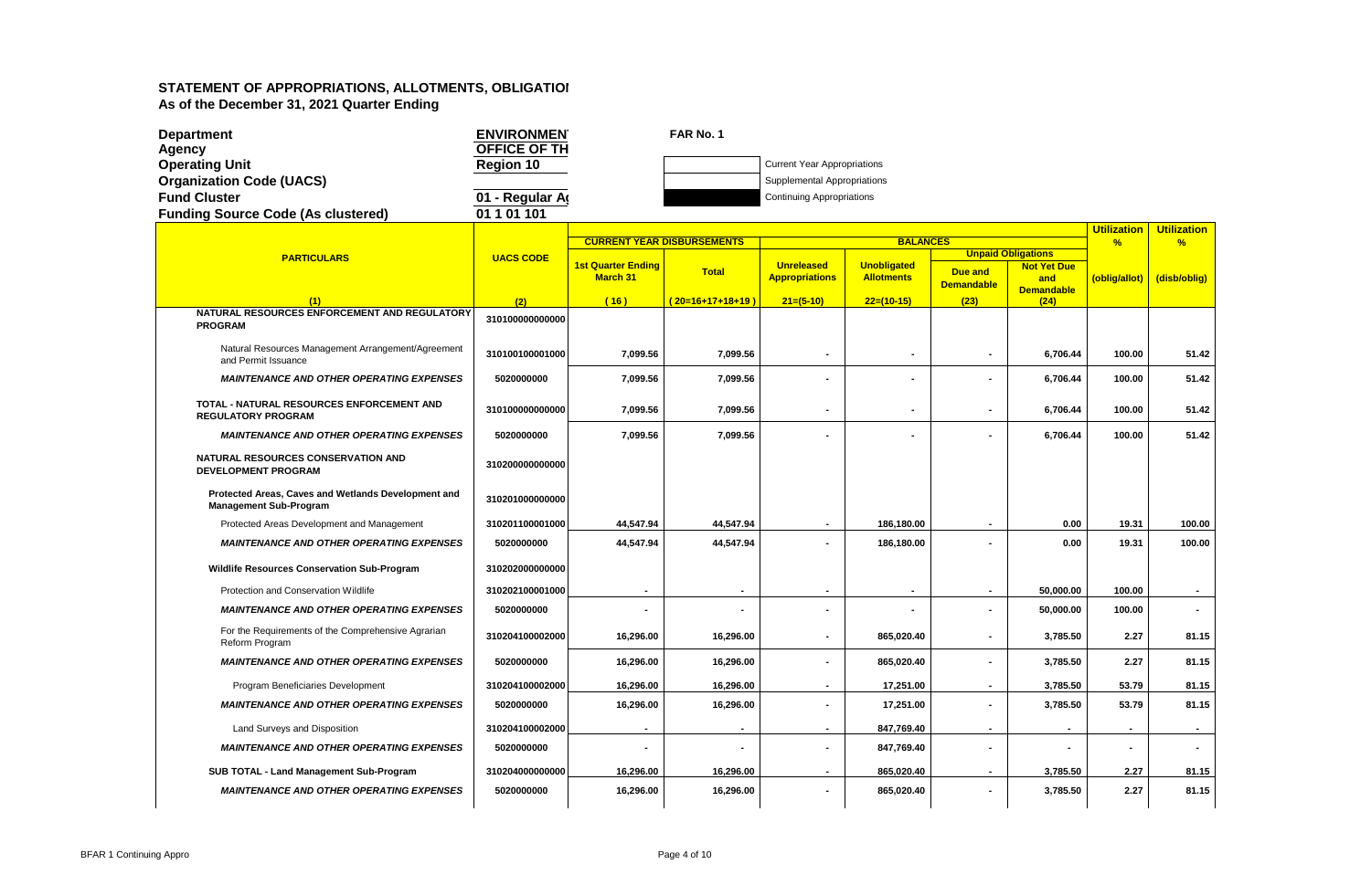| <b>Department</b>                                                                    | <b>ENVIRONMEN</b> |                                              | FAR No. 1                         |                                            |                                         |                                     |                                                |                    |                    |
|--------------------------------------------------------------------------------------|-------------------|----------------------------------------------|-----------------------------------|--------------------------------------------|-----------------------------------------|-------------------------------------|------------------------------------------------|--------------------|--------------------|
| <b>Agency</b>                                                                        | OFFICE OF TH      |                                              |                                   |                                            |                                         |                                     |                                                |                    |                    |
| <b>Operating Unit</b>                                                                | Region 10         |                                              |                                   | <b>Current Year Appropriations</b>         |                                         |                                     |                                                |                    |                    |
| <b>Organization Code (UACS)</b>                                                      |                   |                                              |                                   | Supplemental Appropriations                |                                         |                                     |                                                |                    |                    |
| <b>Fund Cluster</b>                                                                  | 01 - Regular A    |                                              |                                   | <b>Continuing Appropriations</b>           |                                         |                                     |                                                |                    |                    |
| <b>Funding Source Code (As clustered)</b>                                            | 01101101          |                                              |                                   |                                            |                                         |                                     |                                                |                    |                    |
|                                                                                      |                   |                                              |                                   |                                            | <b>BALANCES</b>                         |                                     |                                                | <b>Utilization</b> | <b>Utilization</b> |
|                                                                                      |                   |                                              | <b>CURRENT YEAR DISBURSEMENTS</b> |                                            |                                         |                                     | <b>Unpaid Obligations</b>                      | $\frac{9}{6}$      | %                  |
| <b>PARTICULARS</b>                                                                   | <b>UACS CODE</b>  | <b>1st Quarter Ending</b><br><b>March 31</b> | <b>Total</b>                      | <b>Unreleased</b><br><b>Appropriations</b> | <b>Unobligated</b><br><b>Allotments</b> | <b>Due and</b><br><b>Demandable</b> | <b>Not Yet Due</b><br>and<br><b>Demandable</b> | (oblig/allot)      | (disb/oblig)       |
| (1)                                                                                  | (2)               | (16)                                         | $(20=16+17+18+19)$                | $21=(5-10)$                                | $22=(10-15)$                            | (23)                                | (24)                                           |                    |                    |
| NATURAL RESOURCES ENFORCEMENT AND REGULATORY<br><b>PROGRAM</b>                       | 310100000000000   |                                              |                                   |                                            |                                         |                                     |                                                |                    |                    |
| Natural Resources Management Arrangement/Agreement<br>and Permit Issuance            | 310100100001000   | 7,099.56                                     | 7,099.56                          | $\blacksquare$                             |                                         |                                     | 6,706.44                                       | 100.00             | 51.42              |
| <b>MAINTENANCE AND OTHER OPERATING EXPENSES</b>                                      | 5020000000        | 7,099.56                                     | 7,099.56                          |                                            |                                         |                                     | 6,706.44                                       | 100.00             | 51.42              |
| TOTAL - NATURAL RESOURCES ENFORCEMENT AND<br><b>REGULATORY PROGRAM</b>               | 310100000000000   | 7,099.56                                     | 7,099.56                          |                                            |                                         |                                     | 6,706.44                                       | 100.00             | 51.42              |
| <b>MAINTENANCE AND OTHER OPERATING EXPENSES</b>                                      | 5020000000        | 7.099.56                                     | 7,099.56                          |                                            |                                         |                                     | 6,706.44                                       | 100.00             | 51.42              |
| NATURAL RESOURCES CONSERVATION AND<br><b>DEVELOPMENT PROGRAM</b>                     | 310200000000000   |                                              |                                   |                                            |                                         |                                     |                                                |                    |                    |
| Protected Areas, Caves and Wetlands Development and<br><b>Management Sub-Program</b> | 310201000000000   |                                              |                                   |                                            |                                         |                                     |                                                |                    |                    |
| Protected Areas Development and Management                                           | 310201100001000   | 44,547.94                                    | 44,547.94                         |                                            | 186.180.00                              |                                     | 0.00                                           | 19.31              | 100.00             |
| <b>MAINTENANCE AND OTHER OPERATING EXPENSES</b>                                      | 5020000000        | 44,547.94                                    | 44,547.94                         |                                            | 186,180.00                              |                                     | 0.00                                           | 19.31              | 100.00             |
| Wildlife Resources Conservation Sub-Program                                          | 310202000000000   |                                              |                                   |                                            |                                         |                                     |                                                |                    |                    |
| Protection and Conservation Wildlife                                                 | 310202100001000   |                                              | $\blacksquare$                    | $\overline{\phantom{a}}$                   |                                         | $\blacksquare$                      | 50,000.00                                      | 100.00             |                    |
| <b>MAINTENANCE AND OTHER OPERATING EXPENSES</b>                                      | 5020000000        |                                              |                                   | $\blacksquare$                             |                                         | $\blacksquare$                      | 50.000.00                                      | 100.00             | $\sim$             |
| For the Requirements of the Comprehensive Agrarian<br>Reform Program                 | 310204100002000   | 16,296.00                                    | 16,296.00                         | $\blacksquare$                             | 865,020.40                              | $\blacksquare$                      | 3,785.50                                       | 2.27               | 81.15              |
| <b>MAINTENANCE AND OTHER OPERATING EXPENSES</b>                                      | 5020000000        | 16,296.00                                    | 16,296.00                         |                                            | 865,020.40                              |                                     | 3,785.50                                       | 2.27               | 81.15              |
| Program Beneficiaries Development                                                    | 310204100002000   | 16,296.00                                    | 16,296.00                         | $\blacksquare$                             | 17,251.00                               |                                     | 3,785.50                                       | 53.79              | 81.15              |
| <b>MAINTENANCE AND OTHER OPERATING EXPENSES</b>                                      | 5020000000        | 16,296.00                                    | 16,296.00                         |                                            | 17,251.00                               |                                     | 3,785.50                                       | 53.79              | 81.15              |
| Land Surveys and Disposition                                                         | 310204100002000   |                                              |                                   |                                            | 847,769.40                              | $\blacksquare$                      | $\overline{\phantom{a}}$                       |                    |                    |
| <b>MAINTENANCE AND OTHER OPERATING EXPENSES</b>                                      | 5020000000        |                                              |                                   | $\blacksquare$                             | 847,769.40                              |                                     |                                                |                    |                    |
| SUB TOTAL - Land Management Sub-Program                                              | 310204000000000   | 16,296.00                                    | 16,296.00                         | $\overline{\phantom{a}}$                   | 865,020.40                              |                                     | 3,785.50                                       | 2.27               | 81.15              |
| <b>MAINTENANCE AND OTHER OPERATING EXPENSES</b>                                      | 5020000000        | 16,296.00                                    | 16,296.00                         | $\blacksquare$                             | 865,020.40                              |                                     | 3,785.50                                       | 2.27               | 81.15              |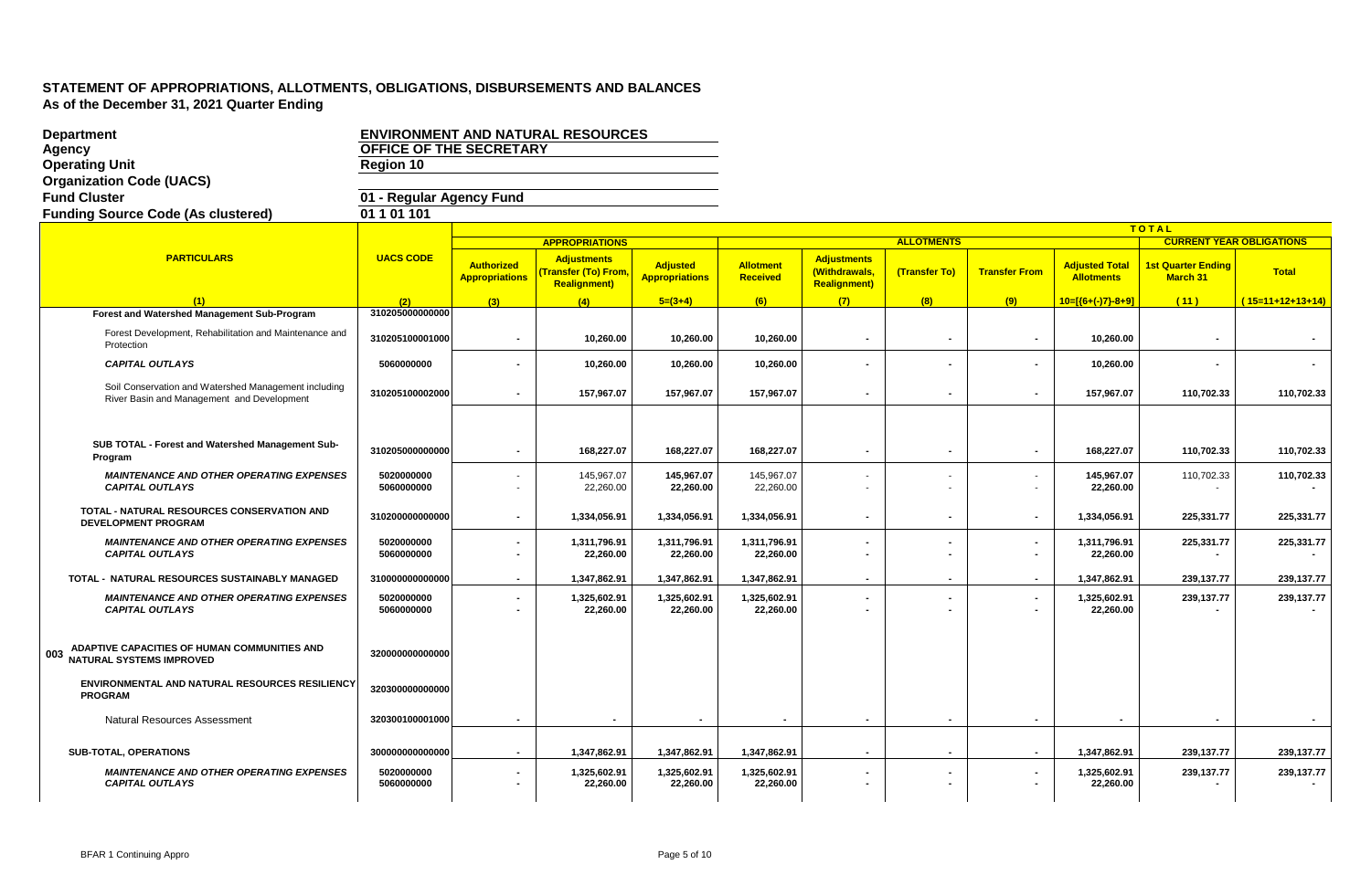| <b>Department</b>                                                                                  |                                |                                            | <b>ENVIRONMENT AND NATURAL RESOURCES</b>                                |                                          |                              |                                                             |                   |                                            |                                            |                                       |                    |
|----------------------------------------------------------------------------------------------------|--------------------------------|--------------------------------------------|-------------------------------------------------------------------------|------------------------------------------|------------------------------|-------------------------------------------------------------|-------------------|--------------------------------------------|--------------------------------------------|---------------------------------------|--------------------|
| Agency                                                                                             | <b>OFFICE OF THE SECRETARY</b> |                                            |                                                                         |                                          |                              |                                                             |                   |                                            |                                            |                                       |                    |
| <b>Operating Unit</b>                                                                              | Region 10                      |                                            |                                                                         |                                          |                              |                                                             |                   |                                            |                                            |                                       |                    |
| <b>Organization Code (UACS)</b>                                                                    |                                |                                            |                                                                         |                                          |                              |                                                             |                   |                                            |                                            |                                       |                    |
| <b>Fund Cluster</b>                                                                                | 01 - Regular Agency Fund       |                                            |                                                                         |                                          |                              |                                                             |                   |                                            |                                            |                                       |                    |
| <b>Funding Source Code (As clustered)</b>                                                          | 01101101                       |                                            |                                                                         |                                          |                              |                                                             |                   |                                            |                                            |                                       |                    |
|                                                                                                    |                                |                                            |                                                                         |                                          |                              |                                                             |                   |                                            |                                            | TOTAL                                 |                    |
| <b>PARTICULARS</b>                                                                                 |                                |                                            | <b>APPROPRIATIONS</b>                                                   |                                          |                              |                                                             | <b>ALLOTMENTS</b> |                                            |                                            | <b>CURRENT YEAR OBLIGATIONS</b>       |                    |
|                                                                                                    | <b>UACS CODE</b>               | <b>Authorized</b><br><b>Appropriations</b> | <b>Adjustments</b><br><b>Transfer (To) From</b><br><b>Realignment</b> ) | <b>Adjusted</b><br><b>Appropriations</b> | <b>Allotment</b><br>Received | <b>Adjustments</b><br>(Withdrawals,<br><b>Realignment</b> ) | (Transfer To)     | <b>Transfer From</b>                       | <b>Adjusted Total</b><br><b>Allotments</b> | 1st Quarter Ending<br><b>March 31</b> | <b>Total</b>       |
| (1)                                                                                                | (2)                            | (3)                                        | (4)                                                                     | $5=(3+4)$                                | (6)                          | (7)                                                         | (8)               | (9)                                        | $10=[(6+(-)7)-8+9]$                        | (11)                                  | $(15=11+12+13+14)$ |
| Forest and Watershed Management Sub-Program                                                        | 310205000000000                |                                            |                                                                         |                                          |                              |                                                             |                   |                                            |                                            |                                       |                    |
| Forest Development, Rehabilitation and Maintenance and<br>Protection                               | 310205100001000                | $\blacksquare$                             | 10,260.00                                                               | 10,260.00                                | 10,260.00                    | $\blacksquare$                                              | $\blacksquare$    | $\blacksquare$                             | 10,260.00                                  | $\blacksquare$                        |                    |
| <b>CAPITAL OUTLAYS</b>                                                                             | 5060000000                     |                                            | 10,260.00                                                               | 10,260.00                                | 10,260.00                    |                                                             |                   |                                            | 10,260.00                                  |                                       |                    |
| Soil Conservation and Watershed Management including<br>River Basin and Management and Development | 310205100002000                | $\blacksquare$                             | 157,967.07                                                              | 157,967.07                               | 157,967.07                   | $\blacksquare$                                              | $\blacksquare$    | $\blacksquare$                             | 157,967.07                                 | 110,702.33                            | 110,702.33         |
|                                                                                                    |                                |                                            |                                                                         |                                          |                              |                                                             |                   |                                            |                                            |                                       |                    |
| SUB TOTAL - Forest and Watershed Management Sub-<br>Program                                        | 310205000000000                | $\blacksquare$                             | 168,227.07                                                              | 168.227.07                               | 168,227.07                   | $\blacksquare$                                              |                   | $\blacksquare$                             | 168.227.07                                 | 110,702.33                            | 110,702.33         |
| <b>MAINTENANCE AND OTHER OPERATING EXPENSES</b><br><b>CAPITAL OUTLAYS</b>                          | 5020000000<br>5060000000       | ٠                                          | 145,967.07<br>22,260.00                                                 | 145,967.07<br>22,260.00                  | 145,967.07<br>22,260.00      | $\overline{\phantom{0}}$                                    |                   | $\overline{\phantom{0}}$<br>٠              | 145,967.07<br>22,260.00                    | 110,702.33                            | 110,702.33         |
| TOTAL - NATURAL RESOURCES CONSERVATION AND<br><b>DEVELOPMENT PROGRAM</b>                           | 310200000000000                | $\blacksquare$                             | 1,334,056.91                                                            | 1,334,056.91                             | 1,334,056.91                 |                                                             |                   | $\blacksquare$                             | 1,334,056.91                               | 225,331.77                            | 225,331.77         |
| <b>MAINTENANCE AND OTHER OPERATING EXPENSES</b><br><b>CAPITAL OUTLAYS</b>                          | 5020000000<br>5060000000       | ٠<br>$\blacksquare$                        | 1,311,796.91<br>22.260.00                                               | 1,311,796.91<br>22.260.00                | 1,311,796.91<br>22,260.00    | $\blacksquare$                                              |                   | $\blacksquare$<br>$\blacksquare$           | 1,311,796.91<br>22,260.00                  | 225,331.77                            | 225,331.77         |
| TOTAL - NATURAL RESOURCES SUSTAINABLY MANAGED                                                      | 310000000000000                |                                            | 1,347,862.91                                                            | 1,347,862.91                             | 1,347,862.91                 |                                                             |                   |                                            | 1,347,862.91                               | 239,137.77                            | 239,137.77         |
| <b>MAINTENANCE AND OTHER OPERATING EXPENSES</b><br><b>CAPITAL OUTLAYS</b>                          | 5020000000<br>5060000000       | $\blacksquare$                             | 1,325,602.91<br>22,260.00                                               | 1,325,602.91<br>22,260.00                | 1,325,602.91<br>22,260.00    | $\blacksquare$                                              |                   | $\overline{\phantom{a}}$<br>$\blacksquare$ | 1,325,602.91<br>22,260.00                  | 239,137.77                            | 239,137.77         |
| ADAPTIVE CAPACITIES OF HUMAN COMMUNITIES AND<br>003<br><b>NATURAL SYSTEMS IMPROVED</b>             | 320000000000000                |                                            |                                                                         |                                          |                              |                                                             |                   |                                            |                                            |                                       |                    |
| ENVIRONMENTAL AND NATURAL RESOURCES RESILIENCY<br><b>PROGRAM</b>                                   | 320300000000000                |                                            |                                                                         |                                          |                              |                                                             |                   |                                            |                                            |                                       |                    |
| <b>Natural Resources Assessment</b>                                                                | 320300100001000                | $\blacksquare$                             | $\blacksquare$                                                          | $\blacksquare$                           | $\overline{\phantom{a}}$     | $\blacksquare$                                              | $\blacksquare$    | $\blacksquare$                             |                                            | $\sim$                                |                    |
| <b>SUB-TOTAL, OPERATIONS</b>                                                                       | 300000000000000                | $\sim$                                     | 1,347,862.91                                                            | 1,347,862.91                             | 1,347,862.91                 | $\sim$                                                      |                   | $\overline{\phantom{a}}$                   | 1,347,862.91                               | 239,137.77                            | 239,137.77         |
| <b>MAINTENANCE AND OTHER OPERATING EXPENSES</b><br><b>CAPITAL OUTLAYS</b>                          | 5020000000<br>5060000000       | ٠<br>$\blacksquare$                        | 1,325,602.91<br>22,260.00                                               | 1,325,602.91<br>22,260.00                | 1,325,602.91<br>22,260.00    | $\blacksquare$                                              |                   | $\blacksquare$                             | 1,325,602.91<br>22,260.00                  | 239,137.77                            | 239,137.77         |
|                                                                                                    |                                |                                            |                                                                         |                                          |                              |                                                             |                   |                                            |                                            |                                       |                    |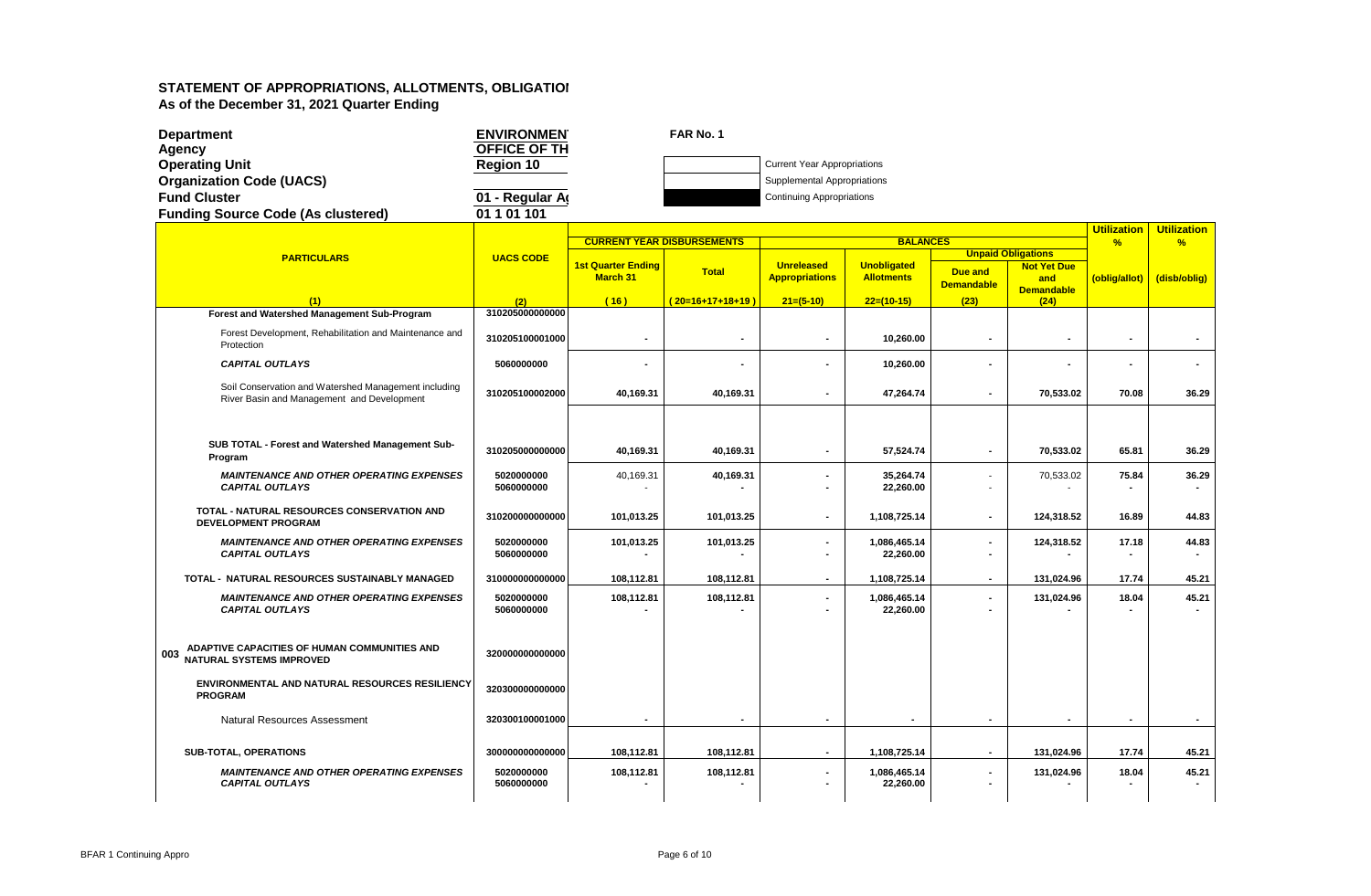| <b>Department</b>                                                                                  | <b>ENVIRONMEN</b>        |                                              | FAR No. 1                         |                                            |                                         |                                     |                           |                    |                          |
|----------------------------------------------------------------------------------------------------|--------------------------|----------------------------------------------|-----------------------------------|--------------------------------------------|-----------------------------------------|-------------------------------------|---------------------------|--------------------|--------------------------|
| Agency                                                                                             | OFFICE OF TH             |                                              |                                   |                                            |                                         |                                     |                           |                    |                          |
| <b>Operating Unit</b>                                                                              | <b>Region 10</b>         |                                              |                                   | <b>Current Year Appropriations</b>         |                                         |                                     |                           |                    |                          |
| <b>Organization Code (UACS)</b>                                                                    |                          |                                              |                                   | Supplemental Appropriations                |                                         |                                     |                           |                    |                          |
| <b>Fund Cluster</b>                                                                                | 01 - Regular A           |                                              |                                   | <b>Continuing Appropriations</b>           |                                         |                                     |                           |                    |                          |
| <b>Funding Source Code (As clustered)</b>                                                          | 01 1 01 1 01             |                                              |                                   |                                            |                                         |                                     |                           |                    |                          |
|                                                                                                    |                          |                                              |                                   |                                            |                                         |                                     |                           | <b>Utilization</b> | <b>Utilization</b>       |
|                                                                                                    |                          |                                              | <b>CURRENT YEAR DISBURSEMENTS</b> |                                            | <b>BALANCES</b>                         |                                     | <b>Unpaid Obligations</b> | $\frac{9}{6}$      | %                        |
| <b>PARTICULARS</b>                                                                                 | <b>UACS CODE</b>         | <b>1st Quarter Ending</b><br><b>March 31</b> | <b>Total</b>                      | <b>Unreleased</b><br><b>Appropriations</b> | <b>Unobligated</b><br><b>Allotments</b> | <b>Due and</b><br><b>Demandable</b> | <b>Not Yet Due</b><br>and | (oblig/allot)      | (disb/oblig)             |
| (1)                                                                                                | (2)                      | (16)                                         | (20=16+17+18+19)                  | $21=(5-10)$                                | $22=(10-15)$                            | (23)                                | <b>Demandable</b><br>(24) |                    |                          |
| Forest and Watershed Management Sub-Program                                                        | 310205000000000          |                                              |                                   |                                            |                                         |                                     |                           |                    |                          |
| Forest Development, Rehabilitation and Maintenance and<br>Protection                               | 310205100001000          |                                              |                                   | $\blacksquare$                             | 10,260.00                               |                                     | $\blacksquare$            |                    |                          |
| <b>CAPITAL OUTLAYS</b>                                                                             | 5060000000               |                                              |                                   |                                            | 10,260.00                               |                                     |                           |                    |                          |
| Soil Conservation and Watershed Management including<br>River Basin and Management and Development | 310205100002000          | 40,169.31                                    | 40,169.31                         | $\blacksquare$                             | 47,264.74                               |                                     | 70,533.02                 | 70.08              | 36.29                    |
|                                                                                                    |                          |                                              |                                   |                                            |                                         |                                     |                           |                    |                          |
| SUB TOTAL - Forest and Watershed Management Sub-<br>Program                                        | 310205000000000          | 40,169.31                                    | 40,169.31                         | $\blacksquare$                             | 57,524.74                               | $\blacksquare$                      | 70.533.02                 | 65.81              | 36.29                    |
| <b>MAINTENANCE AND OTHER OPERATING EXPENSES</b><br><b>CAPITAL OUTLAYS</b>                          | 5020000000<br>5060000000 | 40,169.31                                    | 40,169.31                         | $\ddot{\phantom{a}}$                       | 35,264.74<br>22,260.00                  |                                     | 70,533.02                 | 75.84              | 36.29                    |
| TOTAL - NATURAL RESOURCES CONSERVATION AND<br><b>DEVELOPMENT PROGRAM</b>                           | 310200000000000          | 101,013.25                                   | 101,013.25                        |                                            | 1,108,725.14                            | $\blacksquare$                      | 124,318.52                | 16.89              | 44.83                    |
| <b>MAINTENANCE AND OTHER OPERATING EXPENSES</b><br><b>CAPITAL OUTLAYS</b>                          | 5020000000<br>5060000000 | 101,013.25                                   | 101,013.25                        | $\blacksquare$                             | 1,086,465.14<br>22,260.00               |                                     | 124,318.52                | 17.18              | 44.83                    |
| TOTAL - NATURAL RESOURCES SUSTAINABLY MANAGED                                                      | 310000000000000          | 108,112.81                                   | 108,112.81                        |                                            | 1,108,725.14                            |                                     | 131,024.96                | 17.74              | 45.21                    |
| <b>MAINTENANCE AND OTHER OPERATING EXPENSES</b><br><b>CAPITAL OUTLAYS</b>                          | 5020000000<br>5060000000 | 108,112.81                                   | 108,112.81                        | $\blacksquare$                             | 1,086,465.14<br>22,260.00               |                                     | 131,024.96                | 18.04              | 45.21                    |
| ADAPTIVE CAPACITIES OF HUMAN COMMUNITIES AND<br>003<br>NATURAL SYSTEMS IMPROVED                    | 320000000000000          |                                              |                                   |                                            |                                         |                                     |                           |                    |                          |
| ENVIRONMENTAL AND NATURAL RESOURCES RESILIENCY<br><b>PROGRAM</b>                                   | 320300000000000          |                                              |                                   |                                            |                                         |                                     |                           |                    |                          |
| <b>Natural Resources Assessment</b>                                                                | 320300100001000          | $\overline{\phantom{a}}$                     |                                   |                                            |                                         | $\overline{\phantom{a}}$            | $\overline{\phantom{a}}$  | $\blacksquare$     | $\overline{\phantom{a}}$ |
| SUB-TOTAL, OPERATIONS                                                                              | 300000000000000          | 108,112.81                                   | 108,112.81                        | $\blacksquare$                             | 1,108,725.14                            |                                     | 131,024.96                | 17.74              | 45.21                    |
| <b>MAINTENANCE AND OTHER OPERATING EXPENSES</b><br><b>CAPITAL OUTLAYS</b>                          | 5020000000<br>5060000000 | 108,112.81                                   | 108,112.81                        |                                            | 1,086,465.14<br>22,260.00               |                                     | 131,024.96                | 18.04              | 45.21                    |
|                                                                                                    |                          |                                              |                                   |                                            |                                         |                                     |                           |                    |                          |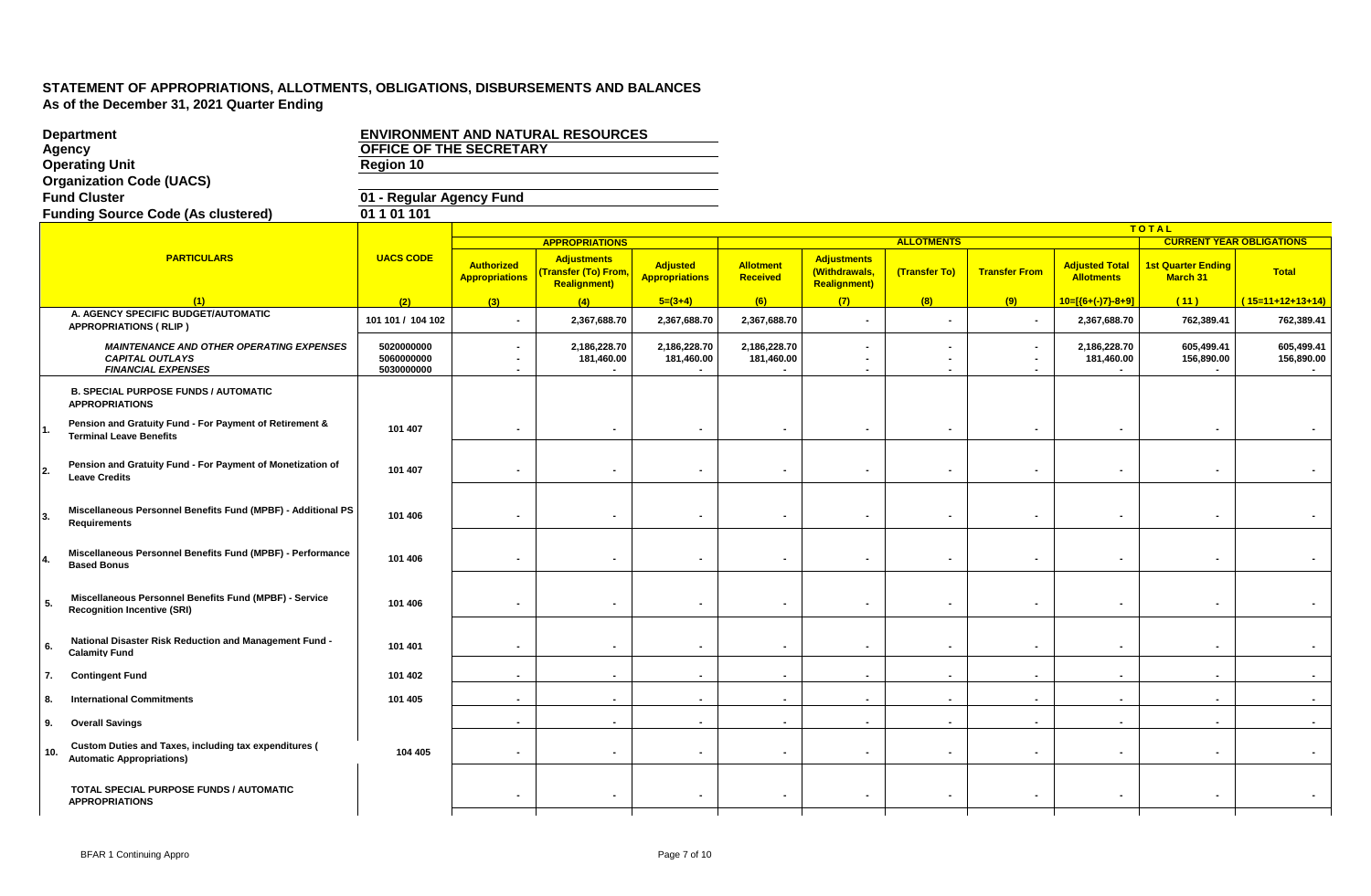|     | <b>Department</b>                                                                                      |                                        |                                            | <b>ENVIRONMENT AND NATURAL RESOURCES</b>                                |                                          |                                     |                                                            |                                            |                                                 |                                            |                                              |                                 |
|-----|--------------------------------------------------------------------------------------------------------|----------------------------------------|--------------------------------------------|-------------------------------------------------------------------------|------------------------------------------|-------------------------------------|------------------------------------------------------------|--------------------------------------------|-------------------------------------------------|--------------------------------------------|----------------------------------------------|---------------------------------|
|     | <b>Agency</b>                                                                                          | OFFICE OF THE SECRETARY                |                                            |                                                                         |                                          |                                     |                                                            |                                            |                                                 |                                            |                                              |                                 |
|     | <b>Operating Unit</b>                                                                                  | <b>Region 10</b>                       |                                            |                                                                         |                                          |                                     |                                                            |                                            |                                                 |                                            |                                              |                                 |
|     | <b>Organization Code (UACS)</b>                                                                        |                                        |                                            |                                                                         |                                          |                                     |                                                            |                                            |                                                 |                                            |                                              |                                 |
|     | <b>Fund Cluster</b>                                                                                    | 01 - Regular Agency Fund               |                                            |                                                                         |                                          |                                     |                                                            |                                            |                                                 |                                            |                                              |                                 |
|     | <b>Funding Source Code (As clustered)</b>                                                              | $01\overline{101}101$                  |                                            |                                                                         |                                          |                                     |                                                            |                                            |                                                 |                                            |                                              |                                 |
|     |                                                                                                        |                                        |                                            |                                                                         |                                          |                                     |                                                            |                                            |                                                 |                                            | <b>TOTAL</b>                                 |                                 |
|     |                                                                                                        |                                        |                                            | <b>APPROPRIATIONS</b>                                                   |                                          |                                     |                                                            | <b>ALLOTMENTS</b>                          |                                                 |                                            |                                              | <b>CURRENT YEAR OBLIGATIONS</b> |
|     | <b>PARTICULARS</b>                                                                                     | <b>UACS CODE</b>                       | <b>Authorized</b><br><b>Appropriations</b> | <b>Adjustments</b><br><b>Transfer (To) From,</b><br><b>Realignment)</b> | <b>Adjusted</b><br><b>Appropriations</b> | <b>Allotment</b><br><b>Received</b> | <b>Adjustments</b><br>(Withdrawals,<br><b>Realignment)</b> | (Transfer To)                              | <b>Transfer From</b>                            | <b>Adjusted Total</b><br><b>Allotments</b> | <b>1st Quarter Ending</b><br><b>March 31</b> | <b>Total</b>                    |
|     | (1)                                                                                                    | (2)                                    | (3)                                        | (4)                                                                     | $5=(3+4)$                                | (6)                                 | (7)                                                        | (8)                                        | (9)                                             | $10=[(6+(-7)-8+9)]$                        | (11)                                         | $(15=11+12+13+14)$              |
|     | A. AGENCY SPECIFIC BUDGET/AUTOMATIC<br><b>APPROPRIATIONS (RLIP)</b>                                    | 101 101 / 104 102                      | $\sim$                                     | 2,367,688.70                                                            | 2,367,688.70                             | 2,367,688.70                        |                                                            | $\blacksquare$                             |                                                 | 2,367,688.70                               | 762,389.41                                   | 762,389.41                      |
|     | <b>MAINTENANCE AND OTHER OPERATING EXPENSES</b><br><b>CAPITAL OUTLAYS</b><br><b>FINANCIAL EXPENSES</b> | 5020000000<br>5060000000<br>5030000000 | $\blacksquare$<br>$\blacksquare$<br>$\sim$ | 2,186,228.70<br>181,460.00                                              | 2,186,228.70<br>181,460.00               | 2,186,228.70<br>181,460.00          | $\blacksquare$<br>$\blacksquare$<br>$\blacksquare$         | $\blacksquare$<br>$\blacksquare$<br>$\sim$ | ٠<br>$\overline{\phantom{a}}$<br>$\blacksquare$ | 2,186,228.70<br>181,460.00                 | 605,499.41<br>156,890.00                     | 605,499.41<br>156,890.00        |
|     | <b>B. SPECIAL PURPOSE FUNDS / AUTOMATIC</b><br><b>APPROPRIATIONS</b>                                   |                                        |                                            |                                                                         |                                          |                                     |                                                            |                                            |                                                 |                                            |                                              |                                 |
|     | Pension and Gratuity Fund - For Payment of Retirement &<br><b>Terminal Leave Benefits</b>              | 101 407                                |                                            | $\blacksquare$                                                          | $\blacksquare$                           | $\sim$                              |                                                            | $\blacksquare$                             | $\blacksquare$                                  | $\blacksquare$                             | $\blacksquare$                               |                                 |
| 2.  | Pension and Gratuity Fund - For Payment of Monetization of<br><b>Leave Credits</b>                     | 101 407                                | $\blacksquare$                             | $\blacksquare$                                                          | $\sim$                                   | $\sim$                              | $\overline{\phantom{0}}$                                   | $\blacksquare$                             | $\qquad \qquad \blacksquare$                    | $\blacksquare$                             | $\blacksquare$                               |                                 |
| ΙЗ. | Miscellaneous Personnel Benefits Fund (MPBF) - Additional PS<br><b>Requirements</b>                    | 101 406                                | $\blacksquare$                             | $\blacksquare$                                                          | $\blacksquare$                           | $\blacksquare$                      |                                                            | $\blacksquare$                             | $\blacksquare$                                  | $\blacksquare$                             | $\blacksquare$                               |                                 |
|     | Miscellaneous Personnel Benefits Fund (MPBF) - Performance<br><b>Based Bonus</b>                       | 101 406                                | $\blacksquare$                             | $\blacksquare$                                                          | $\blacksquare$                           | $\blacksquare$                      |                                                            | $\blacksquare$                             | $\blacksquare$                                  | $\blacksquare$                             | $\blacksquare$                               |                                 |
| 5.  | Miscellaneous Personnel Benefits Fund (MPBF) - Service<br><b>Recognition Incentive (SRI)</b>           | 101 406                                | $\blacksquare$                             | $\sim$                                                                  | $\blacksquare$                           | $\sim$                              | $\blacksquare$                                             | $\blacksquare$                             | ٠                                               | $\blacksquare$                             | $\blacksquare$                               |                                 |
| 6.  | National Disaster Risk Reduction and Management Fund -<br><b>Calamity Fund</b>                         | 101 401                                | $\blacksquare$                             | $\sim$                                                                  | $\blacksquare$                           | $\sim$                              | $\blacksquare$                                             | $\blacksquare$                             | ۰                                               | $\blacksquare$                             | $\blacksquare$                               |                                 |
| 7.  | <b>Contingent Fund</b>                                                                                 | 101 402                                | $\sim$                                     | $\sim$                                                                  | $\sim$                                   | $\sim$                              | $\sim$                                                     | $\sim$                                     | $\blacksquare$                                  | $\sim$                                     | $\sim$                                       |                                 |
| 8.  | <b>International Commitments</b>                                                                       | 101 405                                | $\sim$                                     | $\Delta$                                                                | $\sim$                                   | $\sim$                              | $\sim$                                                     | $\sim$                                     | $\sim$                                          | $\sim$                                     | $\sim$                                       |                                 |
| 9.  | <b>Overall Savings</b>                                                                                 |                                        | $\blacksquare$                             | $\sim$                                                                  | $\sim$                                   | $\sim$                              | $\sim$                                                     | $\blacksquare$                             | $\blacksquare$                                  | $\sim$                                     | $\blacksquare$                               |                                 |
| 10. | Custom Duties and Taxes, including tax expenditures (<br><b>Automatic Appropriations)</b>              | 104 405                                | $\blacksquare$                             | $\blacksquare$                                                          | $\blacksquare$                           | $\blacksquare$                      |                                                            | $\blacksquare$                             | $\blacksquare$                                  | $\blacksquare$                             | $\blacksquare$                               |                                 |
|     | TOTAL SPECIAL PURPOSE FUNDS / AUTOMATIC<br><b>APPROPRIATIONS</b>                                       |                                        | $\blacksquare$                             | $\blacksquare$                                                          | $\blacksquare$                           | $\blacksquare$                      |                                                            | $\blacksquare$                             | ۰                                               |                                            | $\blacksquare$                               |                                 |
|     |                                                                                                        |                                        |                                            |                                                                         |                                          |                                     |                                                            |                                            |                                                 |                                            |                                              |                                 |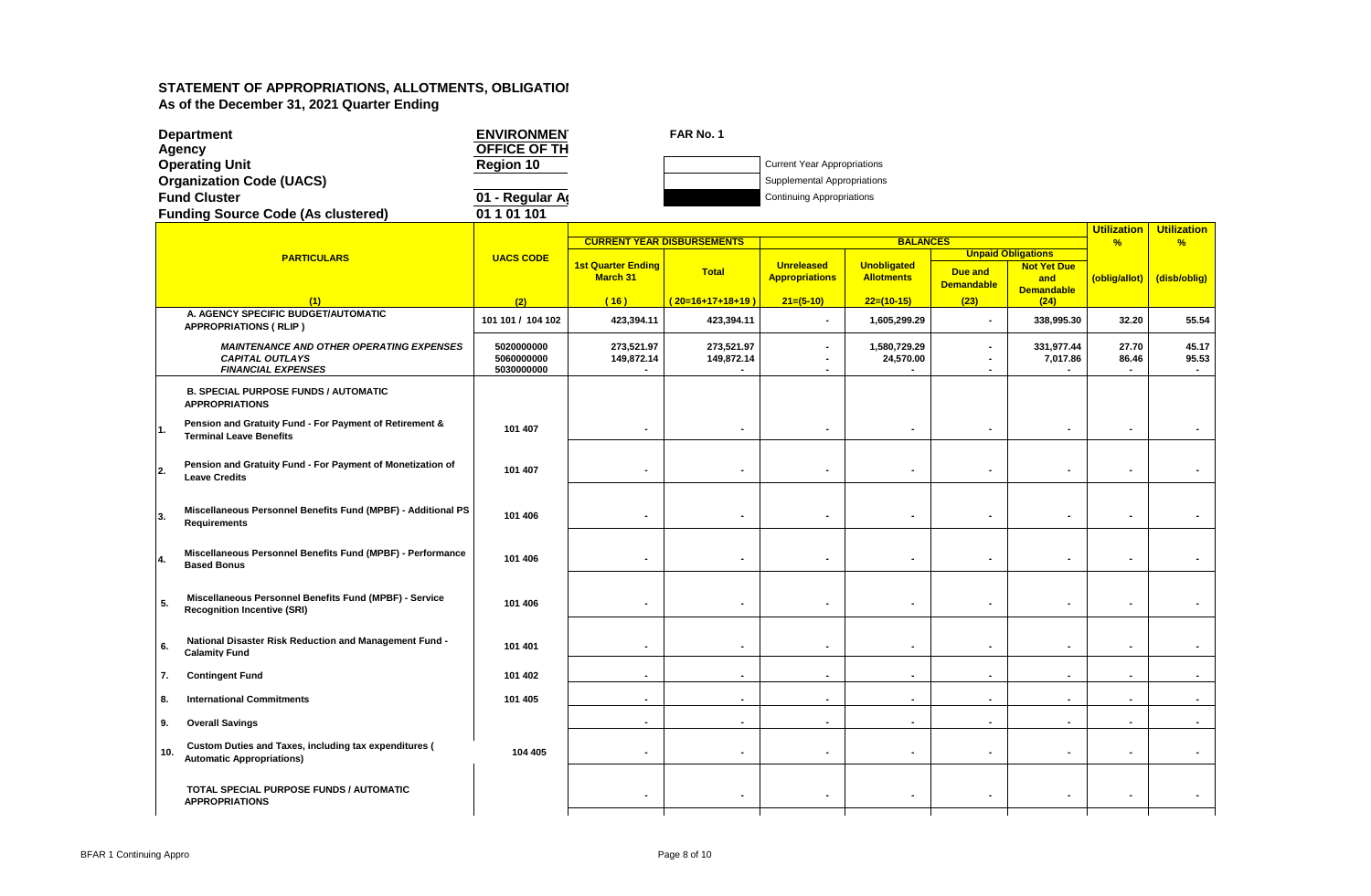|     | <b>Department</b>                                                                            | <b>ENVIRONMEN</b>        |                           | FAR No. 1                         |                                    |                          |                                     |                                                 |                    |                    |
|-----|----------------------------------------------------------------------------------------------|--------------------------|---------------------------|-----------------------------------|------------------------------------|--------------------------|-------------------------------------|-------------------------------------------------|--------------------|--------------------|
|     | Agency                                                                                       | OFFICE OF TH             |                           |                                   |                                    |                          |                                     |                                                 |                    |                    |
|     | <b>Operating Unit</b>                                                                        | <b>Region 10</b>         |                           |                                   | <b>Current Year Appropriations</b> |                          |                                     |                                                 |                    |                    |
|     | <b>Organization Code (UACS)</b>                                                              |                          |                           |                                   | Supplemental Appropriations        |                          |                                     |                                                 |                    |                    |
|     | <b>Fund Cluster</b>                                                                          | 01 - Regular A           |                           |                                   | <b>Continuing Appropriations</b>   |                          |                                     |                                                 |                    |                    |
|     | <b>Funding Source Code (As clustered)</b>                                                    | 01 1 01 101              |                           |                                   |                                    |                          |                                     |                                                 |                    |                    |
|     |                                                                                              |                          |                           |                                   |                                    |                          |                                     |                                                 | <b>Utilization</b> | <b>Utilization</b> |
|     |                                                                                              |                          |                           | <b>CURRENT YEAR DISBURSEMENTS</b> |                                    | <b>BALANCES</b>          |                                     |                                                 | $\frac{9}{6}$      | %                  |
|     | <b>PARTICULARS</b>                                                                           | <b>UACS CODE</b>         | <b>1st Quarter Ending</b> |                                   | <b>Unreleased</b>                  | <b>Unobligated</b>       |                                     | <b>Unpaid Obligations</b><br><b>Not Yet Due</b> |                    |                    |
|     |                                                                                              |                          | March 31                  | <b>Total</b>                      | <b>Appropriations</b>              | <b>Allotments</b>        | <b>Due and</b><br><b>Demandable</b> | and                                             | (oblig/allot)      | (disb/oblig)       |
|     |                                                                                              |                          |                           |                                   |                                    |                          |                                     | <b>Demandable</b>                               |                    |                    |
|     | (1)<br>A. AGENCY SPECIFIC BUDGET/AUTOMATIC                                                   | (2)                      | (16)                      | $(20=16+17+18+19)$                | $21=(5-10)$                        | $22=(10-15)$             | (23)                                | (24)                                            |                    |                    |
|     | <b>APPROPRIATIONS (RLIP)</b>                                                                 | 101 101 / 104 102        | 423,394.11                | 423,394.11                        | $\tilde{\phantom{a}}$              | 1,605,299.29             | $\sim$                              | 338,995.30                                      | 32.20              | 55.54              |
|     | <b>MAINTENANCE AND OTHER OPERATING EXPENSES</b>                                              | 5020000000               | 273,521.97                | 273,521.97                        | $\blacksquare$                     | 1,580,729.29             |                                     | 331,977.44                                      | 27.70              | 45.17              |
|     | <b>CAPITAL OUTLAYS</b><br><b>FINANCIAL EXPENSES</b>                                          | 5060000000<br>5030000000 | 149,872.14                | 149,872.14                        | $\blacksquare$                     | 24,570.00                |                                     | 7,017.86                                        | 86.46              | 95.53              |
|     |                                                                                              |                          |                           |                                   |                                    |                          |                                     |                                                 |                    |                    |
|     | <b>B. SPECIAL PURPOSE FUNDS / AUTOMATIC</b><br><b>APPROPRIATIONS</b>                         |                          |                           |                                   |                                    |                          |                                     |                                                 |                    |                    |
| 11. | Pension and Gratuity Fund - For Payment of Retirement &<br><b>Terminal Leave Benefits</b>    | 101 407                  | $\blacksquare$            |                                   | $\blacksquare$                     | $\blacksquare$           |                                     |                                                 |                    |                    |
|     |                                                                                              |                          |                           |                                   |                                    |                          |                                     |                                                 |                    |                    |
|     | Pension and Gratuity Fund - For Payment of Monetization of                                   |                          |                           |                                   |                                    |                          |                                     |                                                 |                    |                    |
| 2.  | <b>Leave Credits</b>                                                                         | 101 407                  | $\blacksquare$            |                                   | $\blacksquare$                     | $\blacksquare$           |                                     | $\blacksquare$                                  | $\blacksquare$     |                    |
|     |                                                                                              |                          |                           |                                   |                                    |                          |                                     |                                                 |                    |                    |
|     | Miscellaneous Personnel Benefits Fund (MPBF) - Additional PS                                 |                          |                           |                                   |                                    |                          |                                     |                                                 |                    |                    |
| 3.  | <b>Requirements</b>                                                                          | 101 406                  |                           |                                   |                                    |                          |                                     |                                                 |                    |                    |
|     |                                                                                              |                          |                           |                                   |                                    |                          |                                     |                                                 |                    |                    |
| 4.  | Miscellaneous Personnel Benefits Fund (MPBF) - Performance                                   | 101 406                  | $\blacksquare$            |                                   |                                    |                          |                                     |                                                 |                    |                    |
|     | <b>Based Bonus</b>                                                                           |                          |                           |                                   |                                    |                          |                                     |                                                 |                    |                    |
|     |                                                                                              |                          |                           |                                   |                                    |                          |                                     |                                                 |                    |                    |
| -5. | Miscellaneous Personnel Benefits Fund (MPBF) - Service<br><b>Recognition Incentive (SRI)</b> | 101 406                  |                           |                                   |                                    |                          |                                     | $\blacksquare$                                  |                    |                    |
|     |                                                                                              |                          |                           |                                   |                                    |                          |                                     |                                                 |                    |                    |
|     | National Disaster Risk Reduction and Management Fund -                                       |                          |                           |                                   |                                    |                          |                                     |                                                 |                    |                    |
| 6.  | <b>Calamity Fund</b>                                                                         | 101 401                  | $\blacksquare$            | $\blacksquare$                    | $\blacksquare$                     | $\blacksquare$           | $\overline{\phantom{a}}$            | $\blacksquare$                                  | $\blacksquare$     | $\sim$             |
| 7.  | <b>Contingent Fund</b>                                                                       | 101 402                  | $\blacksquare$            | $\blacksquare$                    | $\sim$                             | $\blacksquare$           | $\sim$                              | $\sim$                                          | $\blacksquare$     | $\sim$             |
|     |                                                                                              |                          |                           |                                   |                                    |                          |                                     |                                                 |                    |                    |
| 8.  | <b>International Commitments</b>                                                             | 101 405                  |                           |                                   | $\blacksquare$                     | $\blacksquare$           |                                     | $\sim$                                          |                    |                    |
| 9.  | <b>Overall Savings</b>                                                                       |                          | $\overline{a}$            | ÷                                 | $\sim$                             | $\overline{\phantom{a}}$ |                                     | $\sim$                                          | $\sim$             | $\sim$             |
|     | <b>Custom Duties and Taxes, including tax expenditures (</b><br>10.                          | 104 405                  |                           |                                   | $\blacksquare$                     | $\blacksquare$           |                                     | $\sim$                                          | $\blacksquare$     |                    |
|     | <b>Automatic Appropriations)</b>                                                             |                          |                           |                                   |                                    |                          |                                     |                                                 |                    |                    |
|     |                                                                                              |                          |                           |                                   |                                    |                          |                                     |                                                 |                    |                    |
|     | TOTAL SPECIAL PURPOSE FUNDS / AUTOMATIC<br><b>APPROPRIATIONS</b>                             |                          |                           | $\blacksquare$                    | $\blacksquare$                     | $\blacksquare$           |                                     | $\blacksquare$                                  |                    |                    |
|     |                                                                                              |                          |                           |                                   |                                    |                          |                                     |                                                 |                    |                    |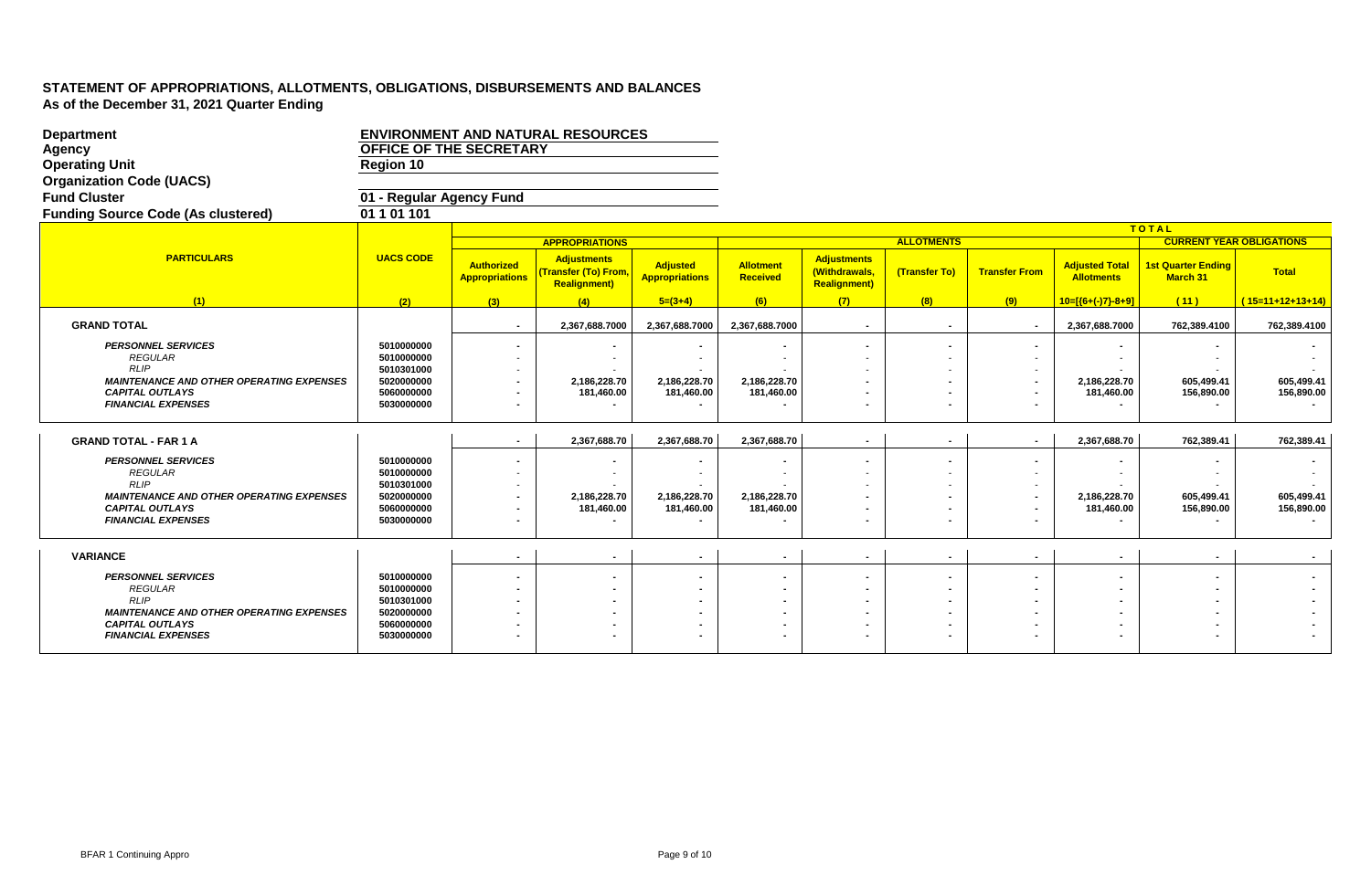| <b>Department</b>                                              | <b>ENVIRONMENT AND NATURAL RESOURCES</b> |                                            |                                                                    |                                          |                                     |                                                            |                   |                          |                                            |                                       |                    |
|----------------------------------------------------------------|------------------------------------------|--------------------------------------------|--------------------------------------------------------------------|------------------------------------------|-------------------------------------|------------------------------------------------------------|-------------------|--------------------------|--------------------------------------------|---------------------------------------|--------------------|
| Agency                                                         | OFFICE OF THE SECRETARY                  |                                            |                                                                    |                                          |                                     |                                                            |                   |                          |                                            |                                       |                    |
| <b>Operating Unit</b>                                          | Region 10                                |                                            |                                                                    |                                          |                                     |                                                            |                   |                          |                                            |                                       |                    |
| <b>Organization Code (UACS)</b>                                |                                          |                                            |                                                                    |                                          |                                     |                                                            |                   |                          |                                            |                                       |                    |
| <b>Fund Cluster</b>                                            | 01 - Regular Agency Fund                 |                                            |                                                                    |                                          |                                     |                                                            |                   |                          |                                            |                                       |                    |
| <b>Funding Source Code (As clustered)</b>                      | 01 1 01 101                              |                                            |                                                                    |                                          |                                     |                                                            |                   |                          |                                            |                                       |                    |
|                                                                |                                          |                                            |                                                                    |                                          |                                     |                                                            |                   |                          |                                            | TOTAL                                 |                    |
|                                                                |                                          |                                            | <b>APPROPRIATIONS</b>                                              |                                          |                                     |                                                            | <b>ALLOTMENTS</b> |                          |                                            | <b>CURRENT YEAR OBLIGATIONS</b>       |                    |
| <b>PARTICULARS</b>                                             | <b>UACS CODE</b>                         | <b>Authorized</b><br><b>Appropriations</b> | <b>Adjustments</b><br>(Transfer (To) From.<br><b>Realignment</b> ) | <b>Adjusted</b><br><b>Appropriations</b> | <b>Allotment</b><br><b>Received</b> | <b>Adjustments</b><br>(Withdrawals,<br><b>Realignment)</b> | (Transfer To)     | <b>Transfer From</b>     | <b>Adjusted Total</b><br><b>Allotments</b> | <b>1st Quarter Ending</b><br>March 31 | <b>Total</b>       |
| (1)                                                            | (2)                                      | (3)                                        | (4)                                                                | $5=(3+4)$                                | (6)                                 | (7)                                                        | (8)               | (9)                      | $10=[(6+(-7)-8+9)]$                        | (11)                                  | $(15=11+12+13+14)$ |
| <b>GRAND TOTAL</b>                                             |                                          | $\sim$                                     | 2,367,688.7000                                                     | 2,367,688.7000                           | 2,367,688.7000                      | $\blacksquare$                                             | $\sim$            |                          | 2,367,688.7000                             | 762,389.4100                          | 762,389.4100       |
| <b>PERSONNEL SERVICES</b><br><b>REGULAR</b>                    | 5010000000<br>5010000000                 |                                            |                                                                    |                                          |                                     |                                                            |                   |                          |                                            |                                       |                    |
| RLIP<br><b>MAINTENANCE AND OTHER OPERATING EXPENSES</b>        | 5010301000<br>5020000000                 | ۰                                          | 2,186,228.70                                                       | 2,186,228.70                             | 2,186,228.70                        |                                                            |                   |                          | 2,186,228.70                               | 605.499.41                            | 605,499.41         |
| <b>CAPITAL OUTLAYS</b>                                         | 5060000000                               |                                            | 181,460.00                                                         | 181,460.00                               | 181,460.00                          |                                                            |                   |                          | 181,460.00                                 | 156,890.00                            | 156,890.00         |
| <b>FINANCIAL EXPENSES</b>                                      | 5030000000                               | $\blacksquare$                             |                                                                    |                                          |                                     |                                                            |                   |                          |                                            |                                       |                    |
|                                                                |                                          |                                            |                                                                    |                                          |                                     |                                                            |                   |                          |                                            |                                       |                    |
| <b>GRAND TOTAL - FAR 1 A</b>                                   |                                          | $\sim$                                     | 2,367,688.70                                                       | 2,367,688.70                             | 2,367,688.70                        | $\sim$                                                     | $\sim$            | $\sim$                   | 2,367,688.70                               | 762,389.41                            | 762,389.41         |
| <b>PERSONNEL SERVICES</b>                                      | 5010000000                               |                                            |                                                                    |                                          |                                     |                                                            |                   |                          |                                            |                                       |                    |
| <b>REGULAR</b>                                                 | 5010000000                               | $\overline{\phantom{a}}$                   |                                                                    |                                          |                                     |                                                            |                   | $\sim$                   |                                            |                                       |                    |
| <b>RLIP</b><br><b>MAINTENANCE AND OTHER OPERATING EXPENSES</b> | 5010301000<br>5020000000                 |                                            | 2,186,228.70                                                       | 2,186,228.70                             | 2,186,228.70                        |                                                            |                   |                          | 2,186,228.70                               | 605,499.41                            | 605,499.41         |
| <b>CAPITAL OUTLAYS</b>                                         | 5060000000                               |                                            | 181,460.00                                                         | 181,460.00                               | 181,460.00                          |                                                            |                   |                          | 181,460.00                                 | 156,890.00                            | 156,890.00         |
| <b>FINANCIAL EXPENSES</b>                                      | 5030000000                               | $\blacksquare$                             | $\blacksquare$                                                     |                                          |                                     |                                                            | $\sim$            | $\blacksquare$           |                                            |                                       |                    |
|                                                                |                                          |                                            |                                                                    |                                          |                                     |                                                            |                   |                          |                                            |                                       |                    |
| <b>VARIANCE</b>                                                |                                          | $\sim$                                     | $\sim$                                                             | $\sim$                                   | $\sim$                              | $\sim$                                                     | $\sim$            | $\sim$                   | $\sim$                                     | $\sim$                                | $\sim$             |
| <b>PERSONNEL SERVICES</b>                                      | 5010000000                               |                                            |                                                                    | $\blacksquare$                           |                                     |                                                            |                   | $\overline{\phantom{0}}$ |                                            | $\sim$                                |                    |
| <b>REGULAR</b><br><b>RLIP</b>                                  | 5010000000<br>5010301000                 | $\sim$                                     |                                                                    |                                          |                                     |                                                            |                   | $\sim$                   |                                            |                                       |                    |
| <b>MAINTENANCE AND OTHER OPERATING EXPENSES</b>                | 5020000000                               | $\blacksquare$                             |                                                                    | $\blacksquare$<br>$\blacksquare$         |                                     |                                                            |                   |                          |                                            |                                       |                    |
| <b>CAPITAL OUTLAYS</b>                                         | 5060000000                               |                                            |                                                                    |                                          |                                     |                                                            |                   |                          |                                            |                                       |                    |
| <b>FINANCIAL EXPENSES</b>                                      | 5030000000                               |                                            |                                                                    |                                          |                                     |                                                            |                   |                          |                                            |                                       |                    |
|                                                                |                                          |                                            |                                                                    |                                          |                                     |                                                            |                   |                          |                                            |                                       |                    |